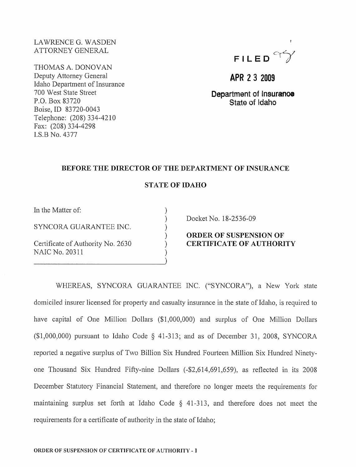## LA WRENCE G. WASDEN ATTORNEY GENERAL

THOMAS A. DONOVAN Deputy Attorney General Idaho Department of Insurance 700 West State Street P.O. Box 83720 Boise,ID 83720-0043 Telephone: (208) 334-4210 Fax: (208) 334-4298 1.S.B No. 4377



**APR 23 2009** 

**Department of Insuranoe State of Idaho** 

### **BEFORE THE DIRECTOR OF THE DEPARTMENT OF INSURANCE**

## **STATE OF IDAHO**

) ) ) ) ) ) )

In the Matter of:

SYNCORA GUARANTEE INC.

Certificate of Authority No. 2630 NAIC No. 20311

Docket No. 18-2536-09

# **ORDER OF SUSPENSION OF CERTIFICATE OF AUTHORITY**

WHEREAS, SYNCORA GUARANTEE INC. ("SYNCORA"), a New York state domiciled insurer licensed for property and casualty insurance in the state of Idaho, is required to have capital of One Million Dollars (\$1,000,000) and surplus of One Million Dollars (\$1,000,000) pursuant to Idaho Code § 41-313; and as of December 31, 2008, SYNCORA reported a negative surplus of Two Billion Six Hundred Fourteen Million Six Hundred Ninetyone Thousand Six Hundred Fifty-nine Dollars (-\$2,614,691,659), as reflected in its 2008 December Statutory Financial Statement, and therefore no longer meets the requirements for maintaining surplus set forth at Idaho Code § 41-313, and therefore does not meet the requirements for a certificate of authority in the state of Idaho;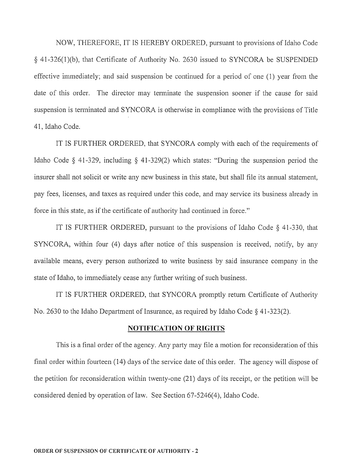NOW, THEREFORE, IT IS HEREBY ORDERED, pursuant to provisions of Idaho Code § 41-326(1)(b), that Certificate of Authority No. 2630 issued to SYNCORA be SUSPENDED effective immediately; and said suspension be continued for a period of one (1) year from the date of this order. The director may terminate the suspension sooner if the cause for said suspension is terminated and SYNCORA is otherwise in compliance with the provisions of Title 41, Idaho Code.

IT IS FURTHER ORDERED, that SYNCORA comply with each of the requirements of Idaho Code § 41-329, including § 41-329(2) which states: "During the suspension period the insurer shall not solicit or write any new business in this state, but shall file its annual statement, pay fees, licenses, and taxes as required under this code, and may service its business already in force in this state, as if the certificate of authority had continued in force."

IT IS FURTHER ORDERED, pursuant to the provisions of Idaho Code  $\S$  41-330, that SYNCORA, within four (4) days after notice of this suspension is received, notify, by any available means, every person authorized to write business by said insurance company in the state of Idaho, to immediately cease any further writing of such business.

IT IS FURTHER ORDERED, that SYNCORA promptly return Certificate of Authority No. 2630 to the Idaho Department of Insurance, as required by Idaho Code  $\S$  41-323(2).

#### **NOTIFICATION OF RIGHTS**

This is a final order of the agency. Any party may file a motion for reconsideration of this final order within fourteen (14) days of the service date of this order. The agency will dispose of the petition for reconsideration within twenty-one (21) days of its receipt, or the petition will be considered denied by operation of law. See Section 67-5246(4), Idaho Code.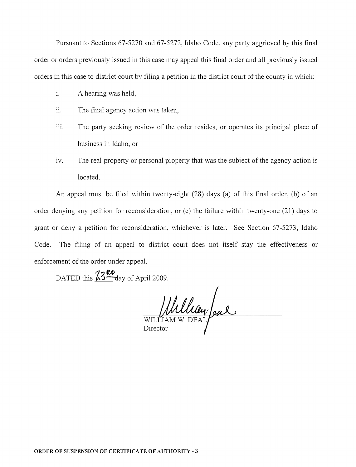Pursuant to Sections 67-5270 and 67-5272, Idaho Code, any party aggrieved by this final order or orders previously issued in this case may appeal this final order and all previously issued orders in this case to district court by filing a petition in the district court of the county in which:

- i. A hearing was held,
- ii. The final agency action was taken,
- iii. The party seeking review of the order resides, or operates its principal place of business in Idaho, or
- iv. The real property or personal property that was the subject of the agency action is located.

An appeal must be filed within twenty-eight (28) days (a) of this final order, (b) of an order denying any petition for reconsideration, or (c) the failure within twenty-one (21) days to grant or deny a petition for reconsideration, whichever is later. See Section 67-5273, Idaho Code. The filing of an appeal to district court does not itself stay the effectiveness or enforcement of the order under appeal.

DATED this  $\frac{\cancel{73}^{\cancel{R}p}}{\cancel{q}}$  day of April 2009.

William W. DEAL